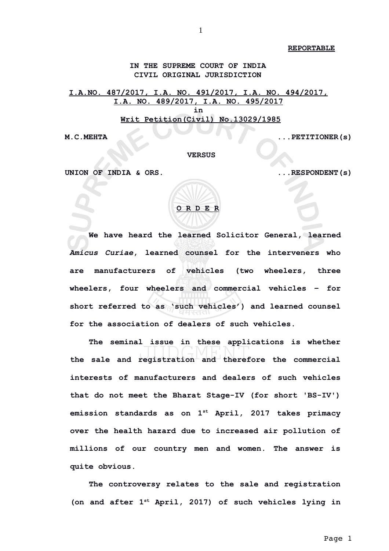**REPORTABLE**

**IN THE SUPREME COURT OF INDIA CIVIL ORIGINAL JURISDICTION**

**I.A.NO. 487/2017, I.A. NO. 491/2017, I.A. NO. 494/2017, I.A. NO. 489/2017, I.A. NO. 495/2017 in Writ Petition(Civil) No.13029/1985**

**M.C.MEHTA ...PETITIONER(s)** 

 **VERSUS**

**UNION OF INDIA & ORS. ...RESPONDENT(s)**

| ORDER |  |  |
|-------|--|--|

**We have heard the learned Solicitor General, learned** *Amicus Curiae***, learned counsel for the interveners who are manufacturers of vehicles (two wheelers, three wheelers, four wheelers and commercial vehicles – for short referred to as 'such vehicles') and learned counsel for the association of dealers of such vehicles.** 

**The seminal issue in these applications is whether** the sale and registration and therefore the commercial **interests of manufacturers and dealers of such vehicles that do not meet the Bharat Stage-IV (for short 'BS-IV') emission standards as on 1st April, 2017 takes primacy over the health hazard due to increased air pollution of millions of our country men and women. The answer is quite obvious.**

**The controversy relates to the sale and registration (on and after 1st April, 2017) of such vehicles lying in**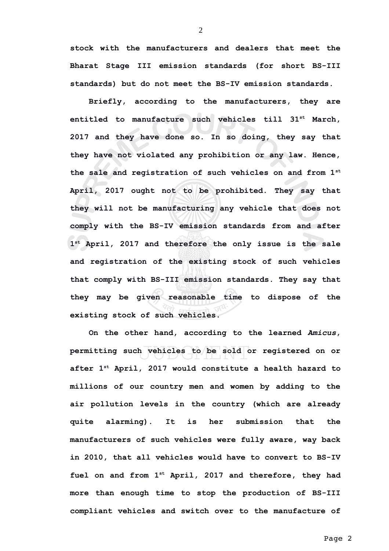**stock with the manufacturers and dealers that meet the Bharat Stage III emission standards (for short BS-III standards) but do not meet the BS-IV emission standards.**

2

**Briefly, according to the manufacturers, they are entitled to manufacture such vehicles till 31st March, 2017 and they have done so. In so doing, they say that they have not violated any prohibition or any law. Hence, the sale and registration of such vehicles on and from 1st April, 2017 ought not to be prohibited. They say that they will not be manufacturing any vehicle that does not comply with the BS-IV emission standards from and after 1 st April, 2017 and therefore the only issue is the sale and registration of the existing stock of such vehicles that comply with BS-III emission standards. They say that they may be given reasonable time to dispose of the existing stock of such vehicles.**

**On the other hand, according to the learned** *Amicus***, permitting such vehicles to be sold or registered on or after 1st April, 2017 would constitute a health hazard to millions of our country men and women by adding to the air pollution levels in the country (which are already quite alarming). It is her submission that the manufacturers of such vehicles were fully aware, way back in 2010, that all vehicles would have to convert to BS-IV fuel on and from 1st April, 2017 and therefore, they had more than enough time to stop the production of BS-III compliant vehicles and switch over to the manufacture of**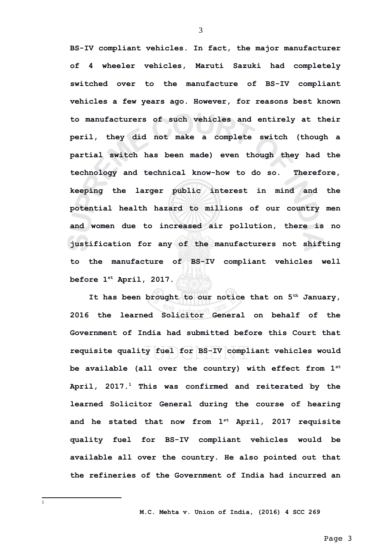**BS-IV compliant vehicles. In fact, the major manufacturer of 4 wheeler vehicles, Maruti Sazuki had completely switched over to the manufacture of BS-IV compliant vehicles a few years ago. However, for reasons best known to manufacturers of such vehicles and entirely at their peril, they did not make a complete switch (though a partial switch has been made) even though they had the technology and technical know-how to do so. Therefore, keeping the larger public interest in mind and the potential health hazard to millions of our country men and women due to increased air pollution, there is no justification for any of the manufacturers not shifting to the manufacture of BS-IV compliant vehicles well before 1st April, 2017.**

**It has been brought to our notice that on 5th January, 2016 the learned Solicitor General on behalf of the Government of India had submitted before this Court that requisite quality fuel for BS-IV compliant vehicles would be available (all over the country) with effect from 1st April, 2017.[1](#page-2-0) This was confirmed and reiterated by the learned Solicitor General during the course of hearing and he stated that now from 1st April, 2017 requisite quality fuel for BS-IV compliant vehicles would be available all over the country. He also pointed out that the refineries of the Government of India had incurred an**

 **M.C. Mehta v. Union of India, (2016) 4 SCC 269**

3

<span id="page-2-0"></span>1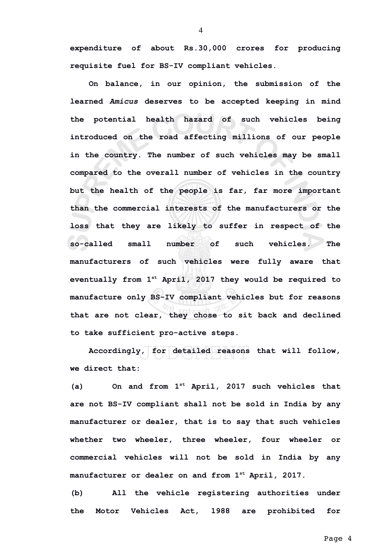**expenditure of about Rs.30,000 crores for producing requisite fuel for BS-IV compliant vehicles.** 

**On balance, in our opinion, the submission of the learned** *Amicus* **deserves to be accepted keeping in mind the potential health hazard of such vehicles being introduced on the road affecting millions of our people in the country. The number of such vehicles may be small compared to the overall number of vehicles in the country but the health of the people is far, far more important than the commercial interests of the manufacturers or the loss that they are likely to suffer in respect of the so-called small number of such vehicles. The manufacturers of such vehicles were fully aware that eventually from 1st April, 2017 they would be required to manufacture only BS-IV compliant vehicles but for reasons that are not clear, they chose to sit back and declined to take sufficient pro-active steps.** 

**Accordingly, for detailed reasons that will follow, we direct that:**

**(a) On and from 1st April, 2017 such vehicles that are not BS-IV compliant shall not be sold in India by any manufacturer or dealer, that is to say that such vehicles whether two wheeler, three wheeler, four wheeler or commercial vehicles will not be sold in India by any manufacturer or dealer on and from 1st April, 2017.** 

**(b) All the vehicle registering authorities under the Motor Vehicles Act, 1988 are prohibited for**

4